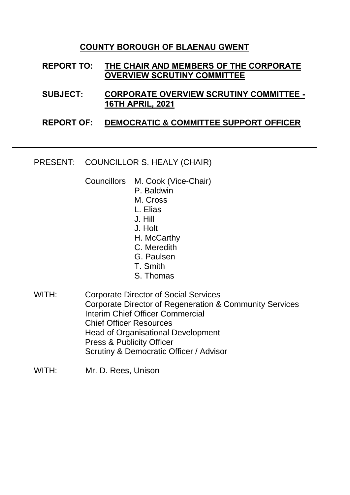## **COUNTY BOROUGH OF BLAENAU GWENT**

## **REPORT TO: THE CHAIR AND MEMBERS OF THE CORPORATE OVERVIEW SCRUTINY COMMITTEE**

**SUBJECT: CORPORATE OVERVIEW SCRUTINY COMMITTEE - 16TH APRIL, 2021**

## **REPORT OF: DEMOCRATIC & COMMITTEE SUPPORT OFFICER**

PRESENT: COUNCILLOR S. HEALY (CHAIR)

Councillors M. Cook (Vice-Chair)

- P. Baldwin
- M. Cross
- L. Elias
- J. Hill
- J. Holt
- H. McCarthy
- C. Meredith
- G. Paulsen
- T. Smith
- S. Thomas

WITH: Corporate Director of Social Services Corporate Director of Regeneration & Community Services Interim Chief Officer Commercial Chief Officer Resources Head of Organisational Development Press & Publicity Officer Scrutiny & Democratic Officer / Advisor

WITH: Mr. D. Rees, Unison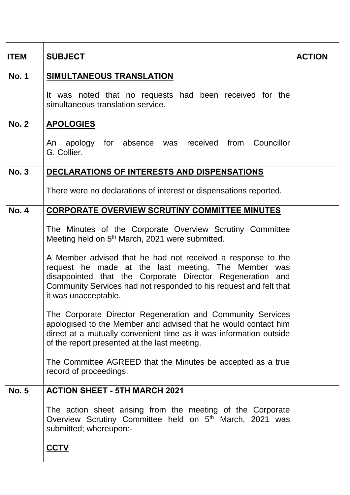| <b>ITEM</b>  | <b>SUBJECT</b>                                                                                                                                                                                                                                                                                                                                                                                          | <b>ACTION</b> |
|--------------|---------------------------------------------------------------------------------------------------------------------------------------------------------------------------------------------------------------------------------------------------------------------------------------------------------------------------------------------------------------------------------------------------------|---------------|
| <b>No. 1</b> | SIMULTANEOUS TRANSLATION                                                                                                                                                                                                                                                                                                                                                                                |               |
|              | It was noted that no requests had been received for the<br>simultaneous translation service.                                                                                                                                                                                                                                                                                                            |               |
| <b>No. 2</b> | <b>APOLOGIES</b>                                                                                                                                                                                                                                                                                                                                                                                        |               |
|              | An apology for absence was received from Councillor<br>G. Collier.                                                                                                                                                                                                                                                                                                                                      |               |
| <b>No. 3</b> | <b>DECLARATIONS OF INTERESTS AND DISPENSATIONS</b>                                                                                                                                                                                                                                                                                                                                                      |               |
|              | There were no declarations of interest or dispensations reported.                                                                                                                                                                                                                                                                                                                                       |               |
| <b>No. 4</b> | <b>CORPORATE OVERVIEW SCRUTINY COMMITTEE MINUTES</b>                                                                                                                                                                                                                                                                                                                                                    |               |
|              | The Minutes of the Corporate Overview Scrutiny Committee<br>Meeting held on 5 <sup>th</sup> March, 2021 were submitted.<br>A Member advised that he had not received a response to the<br>request he made at the last meeting. The Member was<br>disappointed that the Corporate Director Regeneration and<br>Community Services had not responded to his request and felt that<br>it was unacceptable. |               |
|              | The Corporate Director Regeneration and Community Services<br>apologised to the Member and advised that he would contact him<br>direct at a mutually convenient time as it was information outside<br>of the report presented at the last meeting.                                                                                                                                                      |               |
|              | The Committee AGREED that the Minutes be accepted as a true<br>record of proceedings.                                                                                                                                                                                                                                                                                                                   |               |
| <b>No. 5</b> | <b>ACTION SHEET - 5TH MARCH 2021</b>                                                                                                                                                                                                                                                                                                                                                                    |               |
|              | The action sheet arising from the meeting of the Corporate<br>Overview Scrutiny Committee held on 5 <sup>th</sup> March, 2021 was<br>submitted; whereupon:-<br><b>CCTV</b>                                                                                                                                                                                                                              |               |
|              |                                                                                                                                                                                                                                                                                                                                                                                                         |               |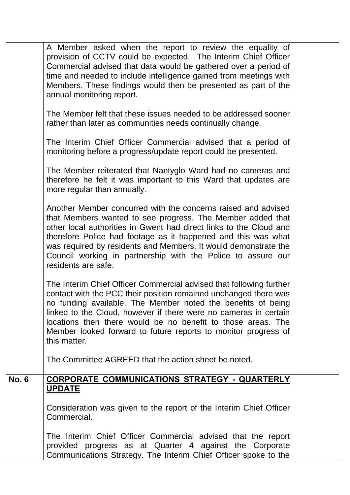|              | A Member asked when the report to review the equality of<br>provision of CCTV could be expected. The Interim Chief Officer<br>Commercial advised that data would be gathered over a period of<br>time and needed to include intelligence gained from meetings with<br>Members. These findings would then be presented as part of the<br>annual monitoring report.                                                             |  |
|--------------|-------------------------------------------------------------------------------------------------------------------------------------------------------------------------------------------------------------------------------------------------------------------------------------------------------------------------------------------------------------------------------------------------------------------------------|--|
|              | The Member felt that these issues needed to be addressed sooner<br>rather than later as communities needs continually change.                                                                                                                                                                                                                                                                                                 |  |
|              | The Interim Chief Officer Commercial advised that a period of<br>monitoring before a progress/update report could be presented.                                                                                                                                                                                                                                                                                               |  |
|              | The Member reiterated that Nantyglo Ward had no cameras and<br>therefore he felt it was important to this Ward that updates are<br>more regular than annually.                                                                                                                                                                                                                                                                |  |
|              | Another Member concurred with the concerns raised and advised<br>that Members wanted to see progress. The Member added that<br>other local authorities in Gwent had direct links to the Cloud and<br>therefore Police had footage as it happened and this was what<br>was required by residents and Members. It would demonstrate the<br>Council working in partnership with the Police to assure our<br>residents are safe.  |  |
|              | The Interim Chief Officer Commercial advised that following further<br>contact with the PCC their position remained unchanged there was<br>no funding available. The Member noted the benefits of being<br>linked to the Cloud, however if there were no cameras in certain<br>locations then there would be no benefit to those areas. The<br>Member looked forward to future reports to monitor progress of<br>this matter. |  |
|              | The Committee AGREED that the action sheet be noted.                                                                                                                                                                                                                                                                                                                                                                          |  |
| <b>No. 6</b> | CORPORATE COMMUNICATIONS STRATEGY - QUARTERLY<br><b>UPDATE</b>                                                                                                                                                                                                                                                                                                                                                                |  |
|              | Consideration was given to the report of the Interim Chief Officer<br>Commercial.                                                                                                                                                                                                                                                                                                                                             |  |
|              | The Interim Chief Officer Commercial advised that the report<br>provided progress as at Quarter 4 against the Corporate<br>Communications Strategy. The Interim Chief Officer spoke to the                                                                                                                                                                                                                                    |  |

т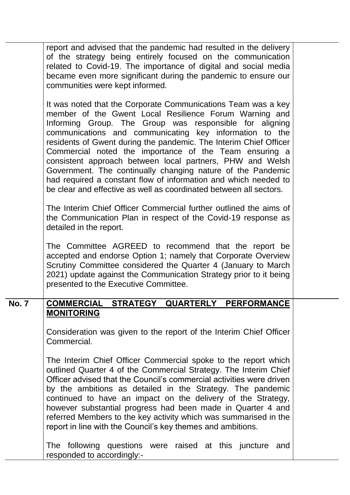report and advised that the pandemic had resulted in the delivery of the strategy being entirely focused on the communication related to Covid-19. The importance of digital and social media became even more significant during the pandemic to ensure our communities were kept informed.

It was noted that the Corporate Communications Team was a key member of the Gwent Local Resilience Forum Warning and Informing Group. The Group was responsible for aligning communications and communicating key information to the residents of Gwent during the pandemic. The Interim Chief Officer Commercial noted the importance of the Team ensuring a consistent approach between local partners, PHW and Welsh Government. The continually changing nature of the Pandemic had required a constant flow of information and which needed to be clear and effective as well as coordinated between all sectors.

The Interim Chief Officer Commercial further outlined the aims of the Communication Plan in respect of the Covid-19 response as detailed in the report.

The Committee AGREED to recommend that the report be accepted and endorse Option 1; namely that Corporate Overview Scrutiny Committee considered the Quarter 4 (January to March 2021) update against the Communication Strategy prior to it being presented to the Executive Committee.

## **No. 7 COMMERCIAL STRATEGY QUARTERLY PERFORMANCE MONITORING**

Consideration was given to the report of the Interim Chief Officer Commercial.

The Interim Chief Officer Commercial spoke to the report which outlined Quarter 4 of the Commercial Strategy. The Interim Chief Officer advised that the Council's commercial activities were driven by the ambitions as detailed in the Strategy. The pandemic continued to have an impact on the delivery of the Strategy, however substantial progress had been made in Quarter 4 and referred Members to the key activity which was summarised in the report in line with the Council's key themes and ambitions.

The following questions were raised at this juncture and responded to accordingly:-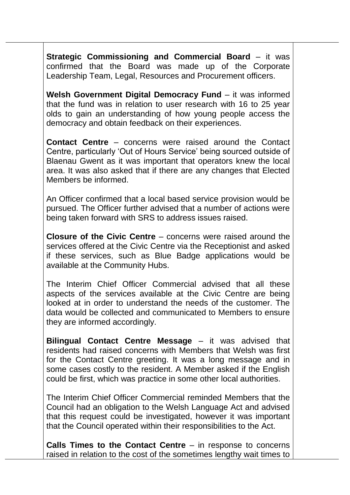**Strategic Commissioning and Commercial Board** – it was confirmed that the Board was made up of the Corporate Leadership Team, Legal, Resources and Procurement officers.

**Welsh Government Digital Democracy Fund** – it was informed that the fund was in relation to user research with 16 to 25 year olds to gain an understanding of how young people access the democracy and obtain feedback on their experiences.

**Contact Centre** – concerns were raised around the Contact Centre, particularly 'Out of Hours Service' being sourced outside of Blaenau Gwent as it was important that operators knew the local area. It was also asked that if there are any changes that Elected Members be informed.

An Officer confirmed that a local based service provision would be pursued. The Officer further advised that a number of actions were being taken forward with SRS to address issues raised.

**Closure of the Civic Centre** – concerns were raised around the services offered at the Civic Centre via the Receptionist and asked if these services, such as Blue Badge applications would be available at the Community Hubs.

The Interim Chief Officer Commercial advised that all these aspects of the services available at the Civic Centre are being looked at in order to understand the needs of the customer. The data would be collected and communicated to Members to ensure they are informed accordingly.

**Bilingual Contact Centre Message** – it was advised that residents had raised concerns with Members that Welsh was first for the Contact Centre greeting. It was a long message and in some cases costly to the resident. A Member asked if the English could be first, which was practice in some other local authorities.

The Interim Chief Officer Commercial reminded Members that the Council had an obligation to the Welsh Language Act and advised that this request could be investigated, however it was important that the Council operated within their responsibilities to the Act.

**Calls Times to the Contact Centre** – in response to concerns raised in relation to the cost of the sometimes lengthy wait times to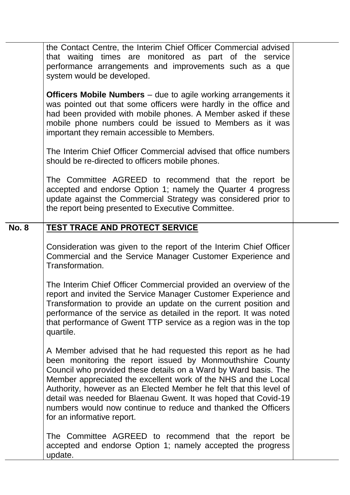|              | the Contact Centre, the Interim Chief Officer Commercial advised<br>that waiting times are monitored as part of the service<br>performance arrangements and improvements such as a que<br>system would be developed.                                                                                                                                                                                                                                                                                   |  |
|--------------|--------------------------------------------------------------------------------------------------------------------------------------------------------------------------------------------------------------------------------------------------------------------------------------------------------------------------------------------------------------------------------------------------------------------------------------------------------------------------------------------------------|--|
|              | <b>Officers Mobile Numbers</b> – due to agile working arrangements it<br>was pointed out that some officers were hardly in the office and<br>had been provided with mobile phones. A Member asked if these<br>mobile phone numbers could be issued to Members as it was<br>important they remain accessible to Members.                                                                                                                                                                                |  |
|              | The Interim Chief Officer Commercial advised that office numbers<br>should be re-directed to officers mobile phones.                                                                                                                                                                                                                                                                                                                                                                                   |  |
|              | The Committee AGREED to recommend that the report be<br>accepted and endorse Option 1; namely the Quarter 4 progress<br>update against the Commercial Strategy was considered prior to<br>the report being presented to Executive Committee.                                                                                                                                                                                                                                                           |  |
| <b>No. 8</b> | <b>TEST TRACE AND PROTECT SERVICE</b>                                                                                                                                                                                                                                                                                                                                                                                                                                                                  |  |
|              | Consideration was given to the report of the Interim Chief Officer<br>Commercial and the Service Manager Customer Experience and<br>Transformation.                                                                                                                                                                                                                                                                                                                                                    |  |
|              | The Interim Chief Officer Commercial provided an overview of the<br>report and invited the Service Manager Customer Experience and<br>Transformation to provide an update on the current position and<br>performance of the service as detailed in the report. It was noted<br>that performance of Gwent TTP service as a region was in the top<br>quartile.                                                                                                                                           |  |
|              | A Member advised that he had requested this report as he had<br>been monitoring the report issued by Monmouthshire County<br>Council who provided these details on a Ward by Ward basis. The<br>Member appreciated the excellent work of the NHS and the Local<br>Authority, however as an Elected Member he felt that this level of<br>detail was needed for Blaenau Gwent. It was hoped that Covid-19<br>numbers would now continue to reduce and thanked the Officers<br>for an informative report. |  |
|              | The Committee AGREED to recommend that the report be<br>accepted and endorse Option 1; namely accepted the progress<br>update.                                                                                                                                                                                                                                                                                                                                                                         |  |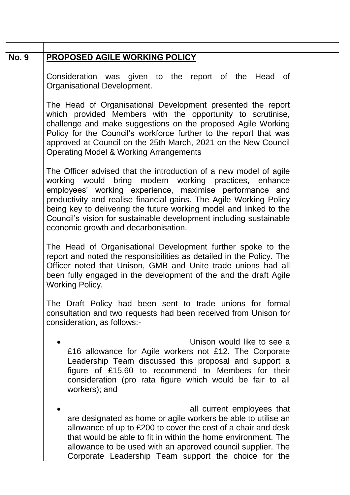| <b>No. 9</b> | PROPOSED AGILE WORKING POLICY                                                                                                                                                                                                                                                                                                                                                                                                                   |  |
|--------------|-------------------------------------------------------------------------------------------------------------------------------------------------------------------------------------------------------------------------------------------------------------------------------------------------------------------------------------------------------------------------------------------------------------------------------------------------|--|
|              | Consideration was given to the report of the Head of<br>Organisational Development.                                                                                                                                                                                                                                                                                                                                                             |  |
|              | The Head of Organisational Development presented the report<br>which provided Members with the opportunity to scrutinise,<br>challenge and make suggestions on the proposed Agile Working<br>Policy for the Council's workforce further to the report that was<br>approved at Council on the 25th March, 2021 on the New Council<br><b>Operating Model &amp; Working Arrangements</b>                                                           |  |
|              | The Officer advised that the introduction of a new model of agile<br>working would bring modern working practices, enhance<br>employees' working experience, maximise performance and<br>productivity and realise financial gains. The Agile Working Policy<br>being key to delivering the future working model and linked to the<br>Council's vision for sustainable development including sustainable<br>economic growth and decarbonisation. |  |
|              | The Head of Organisational Development further spoke to the<br>report and noted the responsibilities as detailed in the Policy. The<br>Officer noted that Unison, GMB and Unite trade unions had all<br>been fully engaged in the development of the and the draft Agile<br><b>Working Policy.</b>                                                                                                                                              |  |
|              | The Draft Policy had been sent to trade unions for formal<br>consultation and two requests had been received from Unison for<br>consideration, as follows:-                                                                                                                                                                                                                                                                                     |  |
|              | Unison would like to see a<br>£16 allowance for Agile workers not £12. The Corporate<br>Leadership Team discussed this proposal and support a<br>figure of £15.60 to recommend to Members for their<br>consideration (pro rata figure which would be fair to all<br>workers); and                                                                                                                                                               |  |
|              | all current employees that<br>are designated as home or agile workers be able to utilise an<br>allowance of up to £200 to cover the cost of a chair and desk<br>that would be able to fit in within the home environment. The<br>allowance to be used with an approved council supplier. The<br>Corporate Leadership Team support the choice for the                                                                                            |  |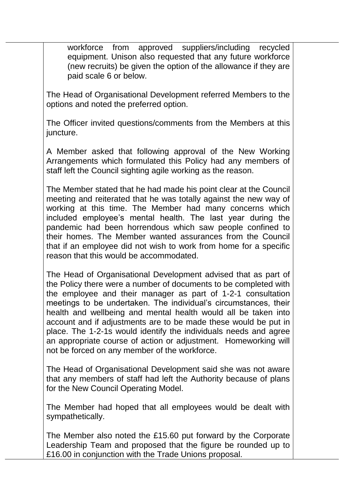workforce from approved suppliers/including recycled equipment. Unison also requested that any future workforce (new recruits) be given the option of the allowance if they are paid scale 6 or below.

The Head of Organisational Development referred Members to the options and noted the preferred option.

The Officer invited questions/comments from the Members at this juncture.

A Member asked that following approval of the New Working Arrangements which formulated this Policy had any members of staff left the Council sighting agile working as the reason.

The Member stated that he had made his point clear at the Council meeting and reiterated that he was totally against the new way of working at this time. The Member had many concerns which included employee's mental health. The last year during the pandemic had been horrendous which saw people confined to their homes. The Member wanted assurances from the Council that if an employee did not wish to work from home for a specific reason that this would be accommodated.

The Head of Organisational Development advised that as part of the Policy there were a number of documents to be completed with the employee and their manager as part of 1-2-1 consultation meetings to be undertaken. The individual's circumstances, their health and wellbeing and mental health would all be taken into account and if adjustments are to be made these would be put in place. The 1-2-1s would identify the individuals needs and agree an appropriate course of action or adjustment. Homeworking will not be forced on any member of the workforce.

The Head of Organisational Development said she was not aware that any members of staff had left the Authority because of plans for the New Council Operating Model.

The Member had hoped that all employees would be dealt with sympathetically.

The Member also noted the £15.60 put forward by the Corporate Leadership Team and proposed that the figure be rounded up to £16.00 in conjunction with the Trade Unions proposal.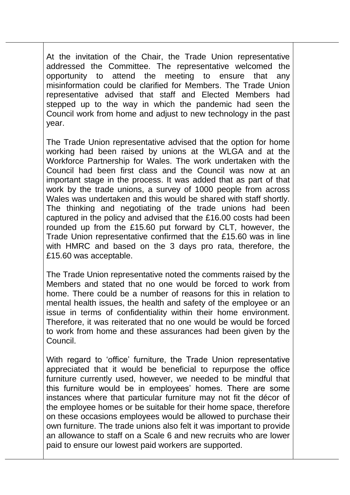At the invitation of the Chair, the Trade Union representative addressed the Committee. The representative welcomed the opportunity to attend the meeting to ensure that any misinformation could be clarified for Members. The Trade Union representative advised that staff and Elected Members had stepped up to the way in which the pandemic had seen the Council work from home and adjust to new technology in the past year.

The Trade Union representative advised that the option for home working had been raised by unions at the WLGA and at the Workforce Partnership for Wales. The work undertaken with the Council had been first class and the Council was now at an important stage in the process. It was added that as part of that work by the trade unions, a survey of 1000 people from across Wales was undertaken and this would be shared with staff shortly. The thinking and negotiating of the trade unions had been captured in the policy and advised that the £16.00 costs had been rounded up from the £15.60 put forward by CLT, however, the Trade Union representative confirmed that the £15.60 was in line with HMRC and based on the 3 days pro rata, therefore, the £15.60 was acceptable.

The Trade Union representative noted the comments raised by the Members and stated that no one would be forced to work from home. There could be a number of reasons for this in relation to mental health issues, the health and safety of the employee or an issue in terms of confidentiality within their home environment. Therefore, it was reiterated that no one would be would be forced to work from home and these assurances had been given by the Council.

With regard to 'office' furniture, the Trade Union representative appreciated that it would be beneficial to repurpose the office furniture currently used, however, we needed to be mindful that this furniture would be in employees' homes. There are some instances where that particular furniture may not fit the décor of the employee homes or be suitable for their home space, therefore on these occasions employees would be allowed to purchase their own furniture. The trade unions also felt it was important to provide an allowance to staff on a Scale 6 and new recruits who are lower paid to ensure our lowest paid workers are supported.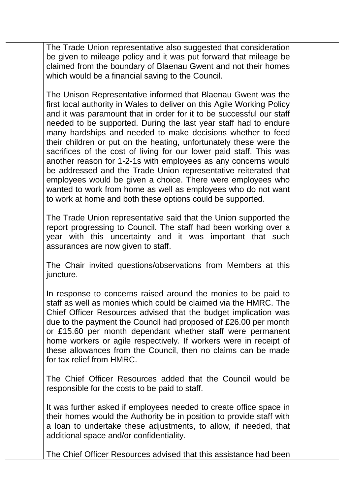The Trade Union representative also suggested that consideration be given to mileage policy and it was put forward that mileage be claimed from the boundary of Blaenau Gwent and not their homes which would be a financial saving to the Council.

The Unison Representative informed that Blaenau Gwent was the first local authority in Wales to deliver on this Agile Working Policy and it was paramount that in order for it to be successful our staff needed to be supported. During the last year staff had to endure many hardships and needed to make decisions whether to feed their children or put on the heating, unfortunately these were the sacrifices of the cost of living for our lower paid staff. This was another reason for 1-2-1s with employees as any concerns would be addressed and the Trade Union representative reiterated that employees would be given a choice. There were employees who wanted to work from home as well as employees who do not want to work at home and both these options could be supported.

The Trade Union representative said that the Union supported the report progressing to Council. The staff had been working over a year with this uncertainty and it was important that such assurances are now given to staff.

The Chair invited questions/observations from Members at this juncture.

In response to concerns raised around the monies to be paid to staff as well as monies which could be claimed via the HMRC. The Chief Officer Resources advised that the budget implication was due to the payment the Council had proposed of £26.00 per month or £15.60 per month dependant whether staff were permanent home workers or agile respectively. If workers were in receipt of these allowances from the Council, then no claims can be made for tax relief from HMRC.

The Chief Officer Resources added that the Council would be responsible for the costs to be paid to staff.

It was further asked if employees needed to create office space in their homes would the Authority be in position to provide staff with a loan to undertake these adjustments, to allow, if needed, that additional space and/or confidentiality.

The Chief Officer Resources advised that this assistance had been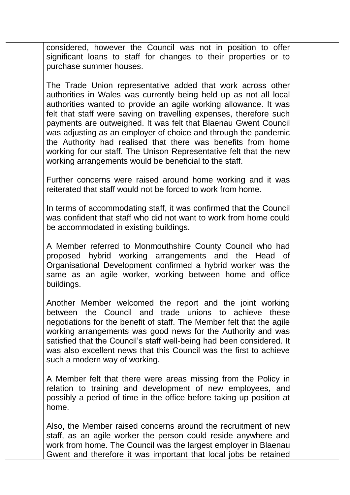considered, however the Council was not in position to offer significant loans to staff for changes to their properties or to purchase summer houses.

The Trade Union representative added that work across other authorities in Wales was currently being held up as not all local authorities wanted to provide an agile working allowance. It was felt that staff were saving on travelling expenses, therefore such payments are outweighed. It was felt that Blaenau Gwent Council was adjusting as an employer of choice and through the pandemic the Authority had realised that there was benefits from home working for our staff. The Unison Representative felt that the new working arrangements would be beneficial to the staff.

Further concerns were raised around home working and it was reiterated that staff would not be forced to work from home.

In terms of accommodating staff, it was confirmed that the Council was confident that staff who did not want to work from home could be accommodated in existing buildings.

A Member referred to Monmouthshire County Council who had proposed hybrid working arrangements and the Head of Organisational Development confirmed a hybrid worker was the same as an agile worker, working between home and office buildings.

Another Member welcomed the report and the joint working between the Council and trade unions to achieve these negotiations for the benefit of staff. The Member felt that the agile working arrangements was good news for the Authority and was satisfied that the Council's staff well-being had been considered. It was also excellent news that this Council was the first to achieve such a modern way of working.

A Member felt that there were areas missing from the Policy in relation to training and development of new employees, and possibly a period of time in the office before taking up position at home.

Also, the Member raised concerns around the recruitment of new staff, as an agile worker the person could reside anywhere and work from home. The Council was the largest employer in Blaenau Gwent and therefore it was important that local jobs be retained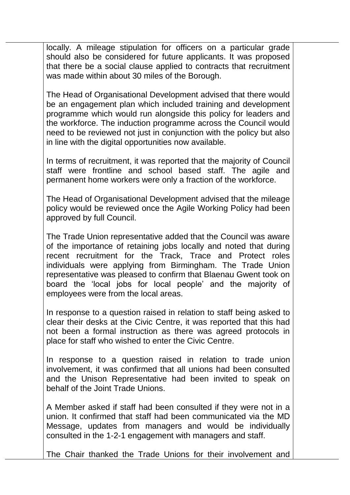locally. A mileage stipulation for officers on a particular grade should also be considered for future applicants. It was proposed that there be a social clause applied to contracts that recruitment was made within about 30 miles of the Borough.

The Head of Organisational Development advised that there would be an engagement plan which included training and development programme which would run alongside this policy for leaders and the workforce. The induction programme across the Council would need to be reviewed not just in conjunction with the policy but also in line with the digital opportunities now available.

In terms of recruitment, it was reported that the majority of Council staff were frontline and school based staff. The agile and permanent home workers were only a fraction of the workforce.

The Head of Organisational Development advised that the mileage policy would be reviewed once the Agile Working Policy had been approved by full Council.

The Trade Union representative added that the Council was aware of the importance of retaining jobs locally and noted that during recent recruitment for the Track, Trace and Protect roles individuals were applying from Birmingham. The Trade Union representative was pleased to confirm that Blaenau Gwent took on board the 'local jobs for local people' and the majority of employees were from the local areas.

In response to a question raised in relation to staff being asked to clear their desks at the Civic Centre, it was reported that this had not been a formal instruction as there was agreed protocols in place for staff who wished to enter the Civic Centre.

In response to a question raised in relation to trade union involvement, it was confirmed that all unions had been consulted and the Unison Representative had been invited to speak on behalf of the Joint Trade Unions.

A Member asked if staff had been consulted if they were not in a union. It confirmed that staff had been communicated via the MD Message, updates from managers and would be individually consulted in the 1-2-1 engagement with managers and staff.

The Chair thanked the Trade Unions for their involvement and